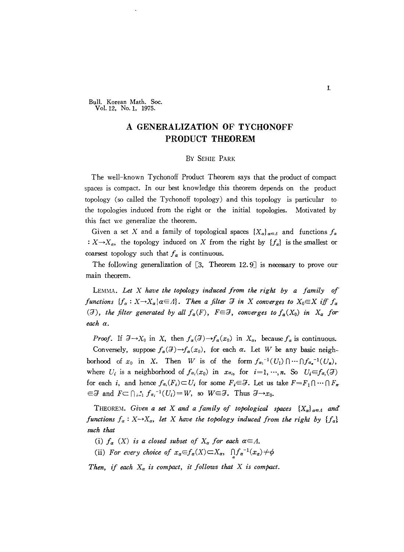Bull. Korean Math. Soc. Vo!. 12, No. I, 1975.

## A **GENERALIZATION OF TYCHONOFF PRODUCT THEOREM**

## By SEHIE PARK

The well-known Tychonoff Product Theorem says that the product of compact spaces is compact. In our best knowledge this theorem depends on the product topology (so called the Tychonoff topology) and this topology is particular to the topologies induced from the right or the initial topologies. Motivated by this fact we generalize the theorem.

Given a set X and a family of topological spaces  ${X_\alpha}_{\alpha=1}$  and functions  $f_\alpha$ :  $X \rightarrow X_\alpha$ , the topology induced on X from the right by  ${f_\alpha}$  is the smallest or coarsest topology such that  $f_{\alpha}$  is continuous.

The following generalization of  $\lceil 3, 1 \rceil$  Theorem 12.9 is necessary to prove our main theorem.

LEMMA. *Let* X *have the topology induced from the right by a family of functions*  ${f_a: X \to X_a | a \in A}$ . Then *a filter*  $\mathcal{F}$  *in*  $X$  *converges to*  $X_0 \in X$  *iff*  $f_a$ (*J*), the filter generated by all  $f_{\alpha}(F)$ ,  $F \in \mathcal{F}$ , converges to  $f_{\alpha}(X_0)$  in  $X_{\alpha}$  for*each a.*

*Proof.* If  $\mathcal{F} \to X_0$  in X, then  $f_\alpha(\mathcal{F}) \to f_\alpha(x_0)$  in  $X_\alpha$ , because  $f_\alpha$  is continuous.

Conversely, suppose  $f_{\alpha}(\mathcal{F}) \rightarrow f_{\alpha}(x_0)$ , for each  $\alpha$ . Let *W* be any basic neighborhood of  $x_0$  in X. Then *W* is of the form  $f_{\alpha_1}^{-1}(U_1) \cap \cdots \cap f_{\alpha_n}^{-1}(U_n)$ , where  $U_i$  is a neighborhood of  $f_{\alpha_i}(x_0)$  in  $x_{\alpha_i}$ , for  $i=1,\dots,n$ . So  $U_i \in f_{\alpha_i}(\mathcal{F})$ for each *i*, and hence  $f_{\alpha_i}(F_i) \subset U_i$  for some  $F_i \in \mathcal{F}$ . Let us take  $F = F_1 \cap \cdots \cap F_n$  $\epsilon \in \mathcal{F}$  and  $F \subset \bigcap_{i=1}^n f_{\alpha_i}^{-1}(U_i) = W$ , so  $W \in \mathcal{F}$ . Thus  $\mathcal{F} \to \infty$ .

THEOREM. Given a set X and a family of topological spaces  ${X_a}_{a \in A}$  and *functions*  $f_a$ :  $X \rightarrow X_a$ , *let*  $X$  *have the topology induced from the right by*  ${f_a}$ *such that*

- (i)  $f_{\alpha}$  (X) *is a closed subset of*  $X_{\alpha}$  *for each*  $\alpha \in A$ .
- (ii) For every choice of  $x_{\alpha} \in f_{\alpha}(X) \subset X_{\alpha}$ ,  $\bigcap f_{\alpha}^{-1}(x_{\alpha}) \neq \phi$

*Then, if* each  $X_a$  *is compact, it follows that*  $X$  *is compact.*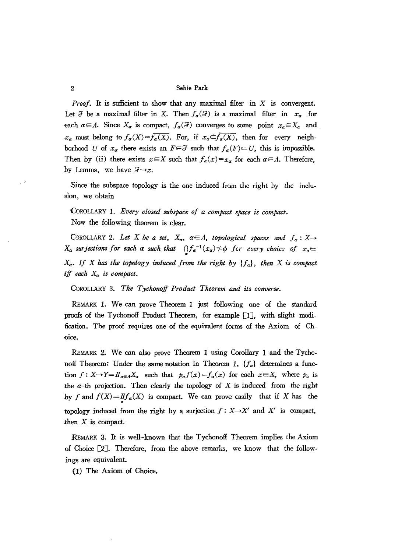## 2 Sehie Park

*Proof.* It is sufficient to show that any maximal filter in X is convergent. Let  $\mathcal F$  be a maximal filter in X. Then  $f_\alpha(\mathcal F)$  is a maximal filter in  $x_\alpha$  for each  $a \in A$ . Since  $X_a$  is compact,  $f_a(\mathcal{F})$  converges to some point  $x_a \in X_a$  and.  $x_{\alpha}$  must belong to  $f_{\alpha}(X)=f_{\alpha}(X)$ . For, if  $x_{\alpha} \in f_{\alpha}(X)$ , then for every neighborhood *U* of  $x_{\alpha}$  there exists an  $F \in \mathcal{F}$  such that  $f_{\alpha}(F) \subset U$ , this is impossible. Then by (ii) there exists  $x \in X$  such that  $f_a(x) = x_a$  for each  $a \in A$ . Therefore, by Lemma, we have  $\mathcal{F}\rightarrow x$ .

Since the subspace topology is the one induced from the right by the inclusion, we obtain

CoROLLARY 1. *Every closed subspace of a compact space is compact.* Now the following theorem is clear.

COROLLARY 2. Let X be a set,  $X_{\alpha}$ ,  $\alpha \in A$ , topological spaces and  $f_{\alpha}: X \rightarrow$  $X_{\alpha}$  *surjections* for each  $\alpha$  *such* that  $\bigcap f_{\alpha}^{-1}(x_{\alpha}) \neq \emptyset$  for every choice of  $x_{\alpha} \in$ *Xa• If* <sup>X</sup> has *the topology induced from the right by {fa}, then* <sup>X</sup> *is compact iff each Xa is compact.*

COROLLARY 3. *The Tychonoff Product Theorem and its converse.* 

REMARK 1. We can prove Theorem 1 just following one of the standard proofs of the Tychonoff Product Theorem, for example  $[1]$ , with slight modification. The proof requires one of the equivalent forms of the Axiom of Choice.

REMARK 2. We can also prove Theorem 1 using Corollary 1 and the Tychonoff Theorem: Under the same notation in Theorem 1, *{fa}* determines a function  $f: X \rightarrow Y = I\mathbb{I}_{\alpha \in A}X_{\alpha}$  such that  $p_{\alpha}f(x) = f_{\alpha}(x)$  for each  $x \in X$ , where  $p_{\alpha}$  is the  $\alpha$ -th projection. Then clearly the topology of X is induced from the right hy *f* and  $f(X) = I f_a(X)$  is compact. We can prove easily that if X has the topology induced from the right by a surjection  $f : X \rightarrow X'$  and X' is compact, then  $X$  is compact.

REMARK 3. It is well-known that the Tychonoff Theorem implies the Axiom of Choice [2J. Therefore, from the above remarks, we know that the followings are equivalent.

(1) The Axiom of Choice.